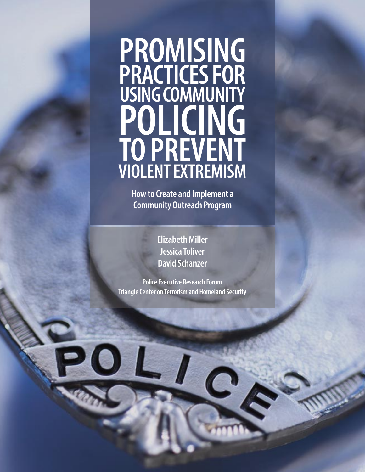# **PROMISING PRACTICES FOR USING COMMUNITY POLICING TO PREVENT VIOLENT EXTREMISM**

**How to Create and Implement a Community Outreach Program**

> **Elizabeth Miller Jessica Toliver David Schanzer**

**Police Executive Research Forum Triangle Center on Terrorism and Homeland Security**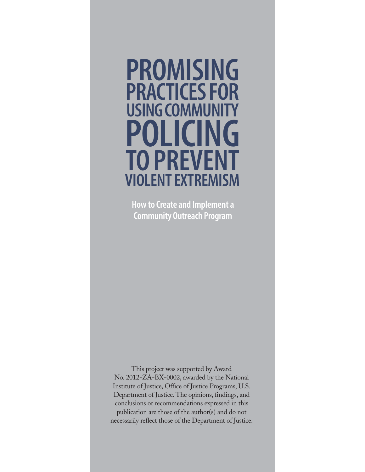# **PROMISING PRACTICES FOR USING COMMUNITY POLICING TO PREVENT VIOLENT EXTREMISM**

**How to Create and Implement a Community Outreach Program**

This project was supported by Award No. 2012-ZA-BX-0002, awarded by the National Institute of Justice, Office of Justice Programs, U.S. Department of Justice. The opinions, findings, and conclusions or recommendations expressed in this publication are those of the author(s) and do not necessarily reflect those of the Department of Justice.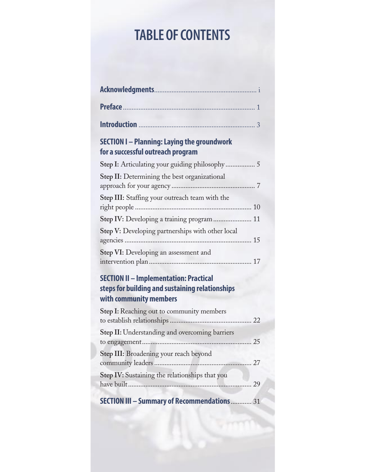# **TABLE OF CONTENTS**

| Preface 2000 1 2000 1 2000 1 2000 1 2000 1 2000 1 2000 1 2000 1 2000 1 2000 1 2000 1 2000 1 2000 1 2000 1 2000 1 2000 1 2000 1 2000 1 2000 1 2000 1 2000 1 2000 1 2000 1 2000 1 2000 1 2000 1 2000 1 2000 1 2000 1 2000 1 2000 |  |
|--------------------------------------------------------------------------------------------------------------------------------------------------------------------------------------------------------------------------------|--|
|                                                                                                                                                                                                                                |  |
| <b>SECTION I – Planning: Laying the groundwork</b><br>for a successful outreach program                                                                                                                                        |  |
| Step I: Articulating your guiding philosophy 5                                                                                                                                                                                 |  |
| Step II: Determining the best organizational                                                                                                                                                                                   |  |
| Step III: Staffing your outreach team with the                                                                                                                                                                                 |  |
| Step IV: Developing a training program  11                                                                                                                                                                                     |  |
| Step V: Developing partnerships with other local                                                                                                                                                                               |  |
| Step VI: Developing an assessment and                                                                                                                                                                                          |  |
| <b>SECTION II - Implementation: Practical</b><br>steps for building and sustaining relationships<br>with community members                                                                                                     |  |
| Step I: Reaching out to community members                                                                                                                                                                                      |  |
| Step II: Understanding and overcoming barriers                                                                                                                                                                                 |  |
| Step III: Broadening your reach beyond                                                                                                                                                                                         |  |
| Step IV: Sustaining the relationships that you                                                                                                                                                                                 |  |
| <b>SECTION III - Summary of Recommendations  31</b>                                                                                                                                                                            |  |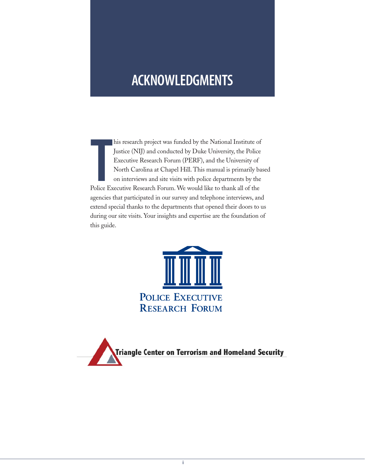# **ACKNOWLEDGMENTS**

**T**<br>Police Ex his research project was funded by the National Institute of Justice (NIJ) and conducted by Duke University, the Police Executive Research Forum (PERF), and the University of North Carolina at Chapel Hill. This manual is primarily based on interviews and site visits with police departments by the Police Executive Research Forum. We would like to thank all of the agencies that participated in our survey and telephone interviews, and extend special thanks to the departments that opened their doors to us during our site visits. Your insights and expertise are the foundation of this guide.



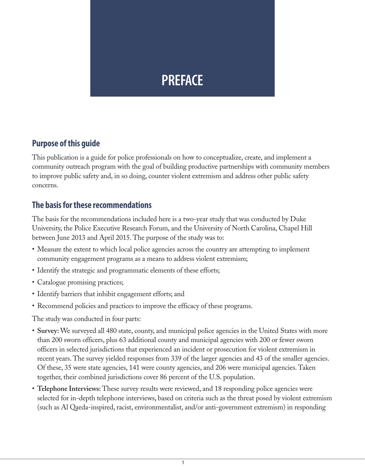# **PREFACE**

#### **Purpose of this guide**

This publication is a guide for police professionals on how to conceptualize, create, and implement a community outreach program with the goal of building productive partnerships with community members to improve public safety and, in so doing, counter violent extremism and address other public safety concerns.

#### **The basis for these recommendations**

The basis for the recommendations included here is a two-year study that was conducted by Duke University, the Police Executive Research Forum, and the University of North Carolina, Chapel Hill between June 2013 and April 2015. The purpose of the study was to:

- Measure the extent to which local police agencies across the country are attempting to implement community engagement programs as a means to address violent extremism;
- Identify the strategic and programmatic elements of these efforts;
- Catalogue promising practices;
- Identify barriers that inhibit engagement efforts; and
- Recommend policies and practices to improve the efficacy of these programs.

The study was conducted in four parts:

- **Survey:** We surveyed all 480 state, county, and municipal police agencies in the United States with more than 200 sworn officers, plus 63 additional county and municipal agencies with 200 or fewer sworn officers in selected jurisdictions that experienced an incident or prosecution for violent extremism in recent years. The survey yielded responses from 339 of the larger agencies and 43 of the smaller agencies. Of these, 35 were state agencies, 141 were county agencies, and 206 were municipal agencies. Taken together, their combined jurisdictions cover 86 percent of the U.S. population.
- **Telephone Interviews:** These survey results were reviewed, and 18 responding police agencies were selected for in-depth telephone interviews, based on criteria such as the threat posed by violent extremism (such as Al Qaeda-inspired, racist, environmentalist, and/or anti-government extremism) in responding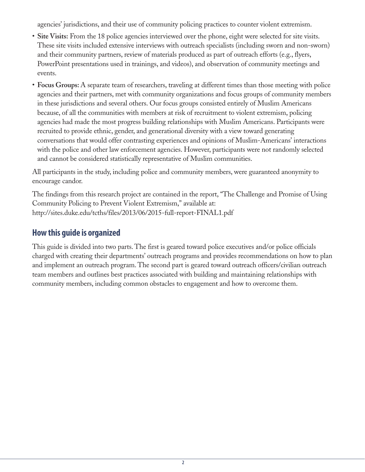agencies' jurisdictions, and their use of community policing practices to counter violent extremism.

- **Site Visits:** From the 18 police agencies interviewed over the phone, eight were selected for site visits. These site visits included extensive interviews with outreach specialists (including sworn and non-sworn) and their community partners, review of materials produced as part of outreach efforts (e.g., flyers, PowerPoint presentations used in trainings, and videos), and observation of community meetings and events.
- **Focus Groups:** A separate team of researchers, traveling at different times than those meeting with police agencies and their partners, met with community organizations and focus groups of community members in these jurisdictions and several others. Our focus groups consisted entirely of Muslim Americans because, of all the communities with members at risk of recruitment to violent extremism, policing agencies had made the most progress building relationships with Muslim Americans. Participants were recruited to provide ethnic, gender, and generational diversity with a view toward generating conversations that would offer contrasting experiences and opinions of Muslim-Americans' interactions with the police and other law enforcement agencies. However, participants were not randomly selected and cannot be considered statistically representative of Muslim communities.

All participants in the study, including police and community members, were guaranteed anonymity to encourage candor.

The findings from this research project are contained in the report, "The Challenge and Promise of Using Community Policing to Prevent Violent Extremism," available at: http://sites.duke.edu/tcths/files/2013/06/2015-full-report-FINAL1.pdf

#### **How this guide is organized**

This guide is divided into two parts. The first is geared toward police executives and/or police officials charged with creating their departments' outreach programs and provides recommendations on how to plan and implement an outreach program. The second part is geared toward outreach officers/civilian outreach team members and outlines best practices associated with building and maintaining relationships with community members, including common obstacles to engagement and how to overcome them.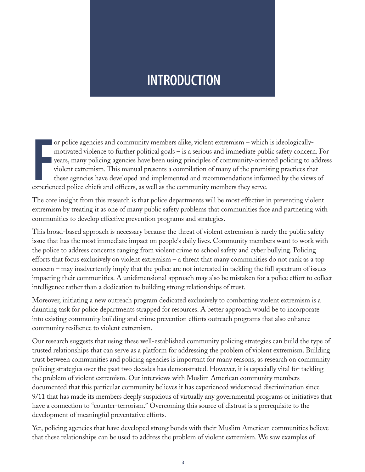# **INTRODUCTION**

or police agencies and community members alike, violent extremism – which motivated violence to further political goals – is a serious and immediate publyears, many policing agencies have been using principles of community or police agencies and community members alike, violent extremism – which is ideologicallymotivated violence to further political goals – is a serious and immediate public safety concern. For years, many policing agencies have been using principles of community-oriented policing to address violent extremism. This manual presents a compilation of many of the promising practices that these agencies have developed and implemented and recommendations informed by the views of

The core insight from this research is that police departments will be most effective in preventing violent extremism by treating it as one of many public safety problems that communities face and partnering with communities to develop effective prevention programs and strategies.

This broad-based approach is necessary because the threat of violent extremism is rarely the public safety issue that has the most immediate impact on people's daily lives. Community members want to work with the police to address concerns ranging from violent crime to school safety and cyber bullying. Policing efforts that focus exclusively on violent extremism – a threat that many communities do not rank as a top concern – may inadvertently imply that the police are not interested in tackling the full spectrum of issues impacting their communities. A unidimensional approach may also be mistaken for a police effort to collect intelligence rather than a dedication to building strong relationships of trust.

Moreover, initiating a new outreach program dedicated exclusively to combatting violent extremism is a daunting task for police departments strapped for resources. A better approach would be to incorporate into existing community building and crime prevention efforts outreach programs that also enhance community resilience to violent extremism.

Our research suggests that using these well-established community policing strategies can build the type of trusted relationships that can serve as a platform for addressing the problem of violent extremism. Building trust between communities and policing agencies is important for many reasons, as research on community policing strategies over the past two decades has demonstrated. However, it is especially vital for tackling the problem of violent extremism. Our interviews with Muslim American community members documented that this particular community believes it has experienced widespread discrimination since 9/11 that has made its members deeply suspicious of virtually any governmental programs or initiatives that have a connection to "counter-terrorism." Overcoming this source of distrust is a prerequisite to the development of meaningful preventative efforts.

Yet, policing agencies that have developed strong bonds with their Muslim American communities believe that these relationships can be used to address the problem of violent extremism. We saw examples of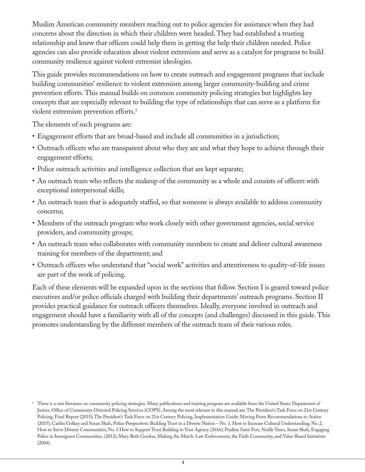Muslim American community members reaching out to police agencies for assistance when they had concerns about the direction in which their children were headed. They had established a trusting relationship and knew that officers could help them in getting the help their children needed. Police agencies can also provide education about violent extremism and serve as a catalyst for programs to build community resilience against violent extremist ideologies.

This guide provides recommendations on how to create outreach and engagement programs that include building communities' resilience to violent extremism among larger community-building and crime prevention efforts. This manual builds on common community policing strategies but highlights key concepts that are especially relevant to building the type of relationships that can serve as a platform for violent extremism prevention efforts.1

The elements of such programs are:

- Engagement efforts that are broad-based and include all communities in a jurisdiction;
- Outreach officers who are transparent about who they are and what they hope to achieve through their engagement efforts;
- Police outreach activities and intelligence collection that are kept separate;
- An outreach team who reflects the makeup of the community as a whole and consists of officers with exceptional interpersonal skills;
- An outreach team that is adequately staffed, so that someone is always available to address community concerns;
- Members of the outreach program who work closely with other government agencies, social service providers, and community groups;
- An outreach team who collaborates with community members to create and deliver cultural awareness training for members of the department; and
- Outreach officers who understand that "social work" activities and attentiveness to quality-of-life issues are part of the work of policing.

Each of these elements will be expanded upon in the sections that follow. Section I is geared toward police executives and/or police officials charged with building their departments' outreach programs. Section II provides practical guidance for outreach officers themselves. Ideally, everyone involved in outreach and engagement should have a familiarity with all of the concepts (and challenges) discussed in this guide. This promotes understanding by the different members of the outreach team of their various roles.

<sup>&</sup>lt;sup>1</sup> There is a vast literature on community policing strategies. Many publications and training program are available from the United States Department of Justice, Office of Community Oriented Policing Services (COPS). Among the most relevant to this manual are: The President's Task Force on 21st Century Policing, Final Report (2015); The President's Task Force on 21st Century Policing, Implementation Guide: Moving From Recommendations to Action (2015); Caitlin Golkey and Susan Shah, Police Perspectives: Building Trust in a Diverse Nation – No. 1. How to Increase Cultural Understanding; No. 2. How to Serve Diverse Communities; No. 3 How to Support Trust Building in Your Agency (2016); Pradine Saint Fort, Noëlle Yasso, Susan Shah, Engaging Police in Immigrant Communities, (2012); Mary Beth Gordon, Making the Match: Law Enforcement, the Faith Community, and Value-Based Initiatives (2004).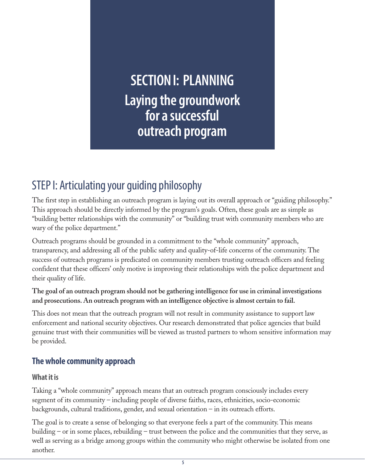**SECTION I: PLANNING Laying the groundwork for a successful outreach program**

# STEP I: Articulating your guiding philosophy

The first step in establishing an outreach program is laying out its overall approach or "guiding philosophy." This approach should be directly informed by the program's goals. Often, these goals are as simple as "building better relationships with the community" or "building trust with community members who are wary of the police department."

Outreach programs should be grounded in a commitment to the "whole community" approach, transparency, and addressing all of the public safety and quality-of-life concerns of the community. The success of outreach programs is predicated on community members trusting outreach officers and feeling confident that these officers' only motive is improving their relationships with the police department and their quality of life.

#### **The goal of an outreach program should not be gathering intelligence for use in criminal investigations and prosecutions. An outreach program with an intelligence objective is almost certain to fail.**

This does not mean that the outreach program will not result in community assistance to support law enforcement and national security objectives. Our research demonstrated that police agencies that build genuine trust with their communities will be viewed as trusted partners to whom sensitive information may be provided.

# **The whole community approach**

#### **What it is**

Taking a "whole community" approach means that an outreach program consciously includes every segment of its community – including people of diverse faiths, races, ethnicities, socio-economic backgrounds, cultural traditions, gender, and sexual orientation – in its outreach efforts.

The goal is to create a sense of belonging so that everyone feels a part of the community. This means building – or in some places, rebuilding – trust between the police and the communities that they serve, as well as serving as a bridge among groups within the community who might otherwise be isolated from one another.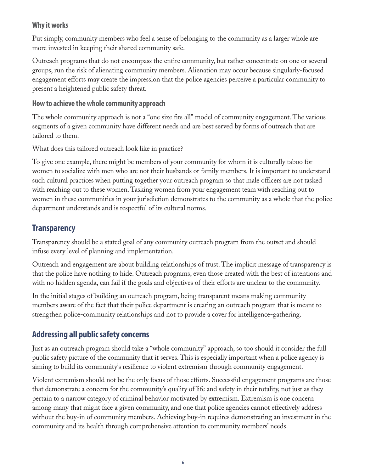#### **Why it works**

Put simply, community members who feel a sense of belonging to the community as a larger whole are more invested in keeping their shared community safe.

Outreach programs that do not encompass the entire community, but rather concentrate on one or several groups, run the risk of alienating community members. Alienation may occur because singularly-focused engagement efforts may create the impression that the police agencies perceive a particular community to present a heightened public safety threat.

#### **How to achieve the whole community approach**

The whole community approach is not a "one size fits all" model of community engagement. The various segments of a given community have different needs and are best served by forms of outreach that are tailored to them.

What does this tailored outreach look like in practice?

To give one example, there might be members of your community for whom it is culturally taboo for women to socialize with men who are not their husbands or family members. It is important to understand such cultural practices when putting together your outreach program so that male officers are not tasked with reaching out to these women. Tasking women from your engagement team with reaching out to women in these communities in your jurisdiction demonstrates to the community as a whole that the police department understands and is respectful of its cultural norms.

# **Transparency**

Transparency should be a stated goal of any community outreach program from the outset and should infuse every level of planning and implementation.

Outreach and engagement are about building relationships of trust. The implicit message of transparency is that the police have nothing to hide. Outreach programs, even those created with the best of intentions and with no hidden agenda, can fail if the goals and objectives of their efforts are unclear to the community.

In the initial stages of building an outreach program, being transparent means making community members aware of the fact that their police department is creating an outreach program that is meant to strengthen police-community relationships and not to provide a cover for intelligence-gathering.

# **Addressing all public safety concerns**

Just as an outreach program should take a "whole community" approach, so too should it consider the full public safety picture of the community that it serves. This is especially important when a police agency is aiming to build its community's resilience to violent extremism through community engagement.

Violent extremism should not be the only focus of those efforts. Successful engagement programs are those that demonstrate a concern for the community's quality of life and safety in their totality, not just as they pertain to a narrow category of criminal behavior motivated by extremism. Extremism is one concern among many that might face a given community, and one that police agencies cannot effectively address without the buy-in of community members. Achieving buy-in requires demonstrating an investment in the community and its health through comprehensive attention to community members' needs.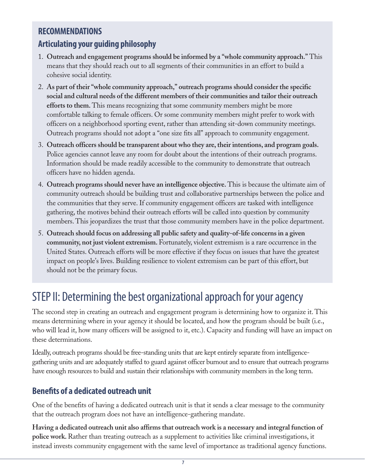# **RECOMMENDATIONS Articulating your guiding philosophy**

- 1. **Outreach and engagement programs should be informed by a "whole community approach."** This means that they should reach out to all segments of their communities in an effort to build a cohesive social identity.
- 2. **As part of their "whole community approach," outreach programs should consider the specific social and cultural needs of the different members of their communities and tailor their outreach efforts to them.** This means recognizing that some community members might be more comfortable talking to female officers. Or some community members might prefer to work with officers on a neighborhood sporting event, rather than attending sit-down community meetings. Outreach programs should not adopt a "one size fits all" approach to community engagement.
- 3. **Outreach officers should be transparent about who they are, their intentions, and program goals.** Police agencies cannot leave any room for doubt about the intentions of their outreach programs. Information should be made readily accessible to the community to demonstrate that outreach officers have no hidden agenda.
- 4. **Outreach programs should never have an intelligence objective.** This is because the ultimate aim of community outreach should be building trust and collaborative partnerships between the police and the communities that they serve. If community engagement officers are tasked with intelligence gathering, the motives behind their outreach efforts will be called into question by community members. This jeopardizes the trust that those community members have in the police department.
- 5. **Outreach should focus on addressing all public safety and quality-of-life concerns in a given community, not just violent extremism.** Fortunately, violent extremism is a rare occurrence in the United States. Outreach efforts will be more effective if they focus on issues that have the greatest impact on people's lives. Building resilience to violent extremism can be part of this effort, but should not be the primary focus.

# STEP II: Determining the best organizational approach for your agency

The second step in creating an outreach and engagement program is determining how to organize it. This means determining where in your agency it should be located, and how the program should be built (i.e., who will lead it, how many officers will be assigned to it, etc.). Capacity and funding will have an impact on these determinations.

Ideally, outreach programs should be free-standing units that are kept entirely separate from intelligencegathering units and are adequately staffed to guard against officer burnout and to ensure that outreach programs have enough resources to build and sustain their relationships with community members in the long term.

# **Benefits of a dedicated outreach unit**

One of the benefits of having a dedicated outreach unit is that it sends a clear message to the community that the outreach program does not have an intelligence-gathering mandate.

**Having a dedicated outreach unit also affirms that outreach work is a necessary and integral function of police work.** Rather than treating outreach as a supplement to activities like criminal investigations, it instead invests community engagement with the same level of importance as traditional agency functions.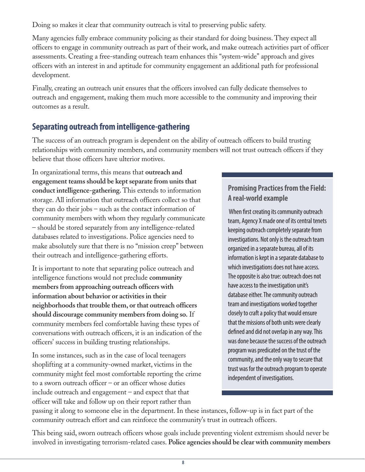Doing so makes it clear that community outreach is vital to preserving public safety.

Many agencies fully embrace community policing as their standard for doing business. They expect all officers to engage in community outreach as part of their work, and make outreach activities part of officer assessments. Creating a free-standing outreach team enhances this "system-wide" approach and gives officers with an interest in and aptitude for community engagement an additional path for professional development.

Finally, creating an outreach unit ensures that the officers involved can fully dedicate themselves to outreach and engagement, making them much more accessible to the community and improving their outcomes as a result.

# **Separating outreach from intelligence-gathering**

The success of an outreach program is dependent on the ability of outreach officers to build trusting relationships with community members, and community members will not trust outreach officers if they believe that those officers have ulterior motives.

In organizational terms, this means that **outreach and engagement teams should be kept separate from units that conduct intelligence-gathering.** This extends to information storage. All information that outreach officers collect so that they can do their jobs – such as the contact information of community members with whom they regularly communicate – should be stored separately from any intelligence-related databases related to investigations. Police agencies need to make absolutely sure that there is no "mission creep" between their outreach and intelligence-gathering efforts.

It is important to note that separating police outreach and intelligence functions would not preclude **community members from approaching outreach officers with information about behavior or activities in their neighborhoods that trouble them, or that outreach officers should discourage community members from doing so.** If community members feel comfortable having these types of conversations with outreach officers, it is an indication of the officers' success in building trusting relationships.

In some instances, such as in the case of local teenagers shoplifting at a community-owned market, victims in the community might feel most comfortable reporting the crime to a sworn outreach officer – or an officer whose duties include outreach and engagement – and expect that that officer will take and follow up on their report rather than

#### **Promising Practices from the Field: A real-world example**

When first creating its community outreach team, Agency X made one of its central tenets keeping outreach completely separate from investigations. Not only is the outreach team organized in a separate bureau, all of its information is kept in a separate database to which investigations does not have access. The opposite is also true: outreach does not have access to the investigation unit's database either. The community outreach team and investigations worked together closely to craft a policy that would ensure that the missions of both units were clearly defined and did not overlap in any way. This was done because the success of the outreach program was predicated on the trust of the community, and the only way to secure that trust was for the outreach program to operate independent of investigations.

passing it along to someone else in the department. In these instances, follow-up is in fact part of the community outreach effort and can reinforce the community's trust in outreach officers.

This being said, sworn outreach officers whose goals include preventing violent extremism should never be involved in investigating terrorism-related cases. **Police agencies should be clear with community members**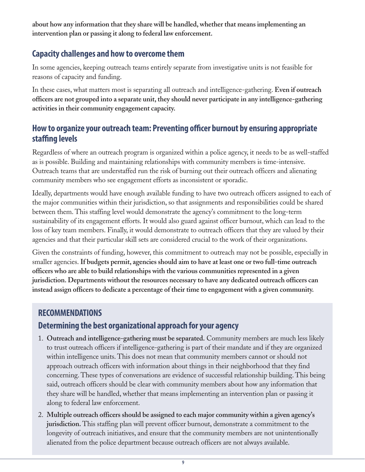**about how any information that they share will be handled, whether that means implementing an intervention plan or passing it along to federal law enforcement.** 

# **Capacity challenges and how to overcome them**

In some agencies, keeping outreach teams entirely separate from investigative units is not feasible for reasons of capacity and funding.

In these cases, what matters most is separating all outreach and intelligence-gathering. **Even if outreach officers are not grouped into a separate unit, they should never participate in any intelligence-gathering activities in their community engagement capacity.** 

### **How to organize your outreach team: Preventing officer burnout by ensuring appropriate staffing levels**

Regardless of where an outreach program is organized within a police agency, it needs to be as well-staffed as is possible. Building and maintaining relationships with community members is time-intensive. Outreach teams that are understaffed run the risk of burning out their outreach officers and alienating community members who see engagement efforts as inconsistent or sporadic.

Ideally, departments would have enough available funding to have two outreach officers assigned to each of the major communities within their jurisdiction, so that assignments and responsibilities could be shared between them. This staffing level would demonstrate the agency's commitment to the long-term sustainability of its engagement efforts. It would also guard against officer burnout, which can lead to the loss of key team members. Finally, it would demonstrate to outreach officers that they are valued by their agencies and that their particular skill sets are considered crucial to the work of their organizations.

Given the constraints of funding, however, this commitment to outreach may not be possible, especially in smaller agencies. **If budgets permit, agencies should aim to have at least one or two full-time outreach officers who are able to build relationships with the various communities represented in a given jurisdiction. Departments without the resources necessary to have any dedicated outreach officers can instead assign officers to dedicate a percentage of their time to engagement with a given community.** 

#### **RECOMMENDATIONS**

# **Determining the best organizational approach for your agency**

- 1. **Outreach and intelligence-gathering must be separated.** Community members are much less likely to trust outreach officers if intelligence-gathering is part of their mandate and if they are organized within intelligence units. This does not mean that community members cannot or should not approach outreach officers with information about things in their neighborhood that they find concerning. These types of conversations are evidence of successful relationship building. This being said, outreach officers should be clear with community members about how any information that they share will be handled, whether that means implementing an intervention plan or passing it along to federal law enforcement.
- 2. **Multiple outreach officers should be assigned to each major community within a given agency's jurisdiction.** This staffing plan will prevent officer burnout, demonstrate a commitment to the longevity of outreach initiatives, and ensure that the community members are not unintentionally alienated from the police department because outreach officers are not always available.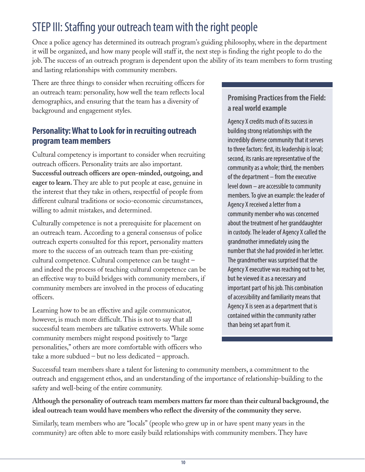# STEP III: Staffing your outreach team with the right people

Once a police agency has determined its outreach program's guiding philosophy, where in the department it will be organized, and how many people will staff it, the next step is finding the right people to do the job. The success of an outreach program is dependent upon the ability of its team members to form trusting and lasting relationships with community members.

There are three things to consider when recruiting officers for an outreach team: personality, how well the team reflects local demographics, and ensuring that the team has a diversity of background and engagement styles.

# **Personality: What to Look for in recruiting outreach program team members**

Cultural competency is important to consider when recruiting outreach officers. Personality traits are also important. **Successful outreach officers are open-minded, outgoing, and eager to learn.** They are able to put people at ease, genuine in the interest that they take in others, respectful of people from different cultural traditions or socio-economic circumstances, willing to admit mistakes, and determined.

Culturally competence is not a prerequisite for placement on an outreach team. According to a general consensus of police outreach experts consulted for this report, personality matters more to the success of an outreach team than pre-existing cultural competence. Cultural competence can be taught – and indeed the process of teaching cultural competence can be an effective way to build bridges with community members, if community members are involved in the process of educating officers.

Learning how to be an effective and agile communicator, however, is much more difficult. This is not to say that all successful team members are talkative extroverts. While some community members might respond positively to "large personalities," others are more comfortable with officers who take a more subdued – but no less dedicated – approach.

#### **Promising Practices from the Field: a real world example**

Agency X credits much of its success in building strong relationships with the incredibly diverse community that it serves to three factors: first, its leadership is local; second, its ranks are representative of the community as a whole; third, the members of the department – from the executive level down – are accessible to community members. To give an example: the leader of Agency X received a letter from a community member who was concerned about the treatment of her granddaughter in custody. The leader of Agency X called the grandmother immediately using the number that she had provided in her letter. The grandmother was surprised that the Agency X executive was reaching out to her, but he viewed it as a necessary and important part of his job. This combination of accessibility and familiarity means that Agency X is seen as a department that is contained within the community rather than being set apart from it.

Successful team members share a talent for listening to community members, a commitment to the outreach and engagement ethos, and an understanding of the importance of relationship-building to the safety and well-being of the entire community.

#### **Although the personality of outreach team members matters far more than their cultural background, the ideal outreach team would have members who reflect the diversity of the community they serve.**

Similarly, team members who are "locals" (people who grew up in or have spent many years in the community) are often able to more easily build relationships with community members. They have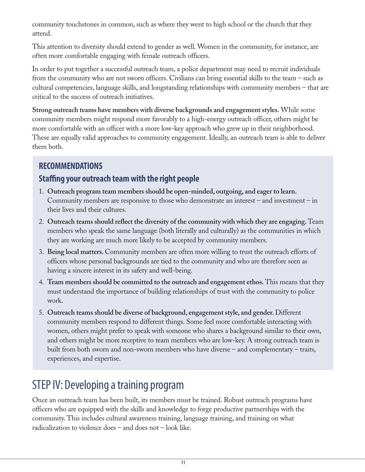community touchstones in common, such as where they went to high school or the church that they attend.

This attention to diversity should extend to gender as well. Women in the community, for instance, are often more comfortable engaging with female outreach officers.

In order to put together a successful outreach team, a police department may need to recruit individuals from the community who are not sworn officers. Civilians can bring essential skills to the team – such as cultural competencies, language skills, and longstanding relationships with community members – that are critical to the success of outreach initiatives.

**Strong outreach teams have members with diverse backgrounds and engagement styles.** While some community members might respond more favorably to a high-energy outreach officer, others might be more comfortable with an officer with a more low-key approach who grew up in their neighborhood. These are equally valid approaches to community engagement. Ideally, an outreach team is able to deliver them both.

# **RECOMMENDATIONS**

# **Staffing your outreach team with the right people**

- 1. **Outreach program team members should be open-minded, outgoing, and eager to learn.** Community members are responsive to those who demonstrate an interest – and investment – in their lives and their cultures.
- 2. **Outreach teams should reflect the diversity of the community with which they are engaging.** Team members who speak the same language (both literally and culturally) as the communities in which they are working are much more likely to be accepted by community members.
- 3. **Being local matters.** Community members are often more willing to trust the outreach efforts of officers whose personal backgrounds are tied to the community and who are therefore seen as having a sincere interest in its safety and well-being.
- 4. **Team members should be committed to the outreach and engagement ethos.** This means that they must understand the importance of building relationships of trust with the community to police work.
- 5. **Outreach teams should be diverse of background, engagement style, and gender.** Different community members respond to different things. Some feel more comfortable interacting with women, others might prefer to speak with someone who shares a background similar to their own, and others might be more receptive to team members who are low-key. A strong outreach team is built from both sworn and non-sworn members who have diverse – and complementary – traits, experiences, and expertise.

# STEP IV: Developing a training program

Once an outreach team has been built, its members must be trained. Robust outreach programs have officers who are equipped with the skills and knowledge to forge productive partnerships with the community. This includes cultural awareness training, language training, and training on what radicalization to violence does – and does not – look like.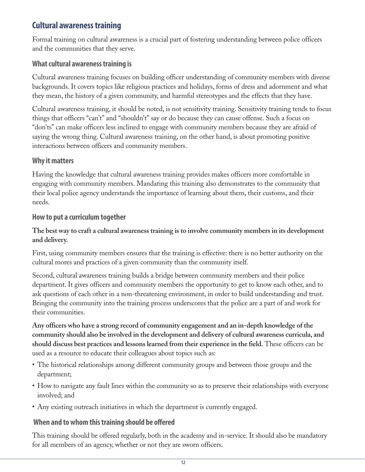# **Cultural awareness training**

Formal training on cultural awareness is a crucial part of fostering understanding between police officers and the communities that they serve.

#### **What cultural awareness training is**

Cultural awareness training focuses on building officer understanding of community members with diverse backgrounds. It covers topics like religious practices and holidays, forms of dress and adornment and what they mean, the history of a given community, and harmful stereotypes and the effects that they have.

Cultural awareness training, it should be noted, is not sensitivity training. Sensitivity training tends to focus things that officers "can't" and "shouldn't" say or do because they can cause offense. Such a focus on "don'ts" can make officers less inclined to engage with community members because they are afraid of saying the wrong thing. Cultural awareness training, on the other hand, is about promoting positive interactions between officers and community members.

#### **Why it matters**

Having the knowledge that cultural awareness training provides makes officers more comfortable in engaging with community members. Mandating this training also demonstrates to the community that their local police agency understands the importance of learning about them, their customs, and their needs.

#### **How to put a curriculum together**

#### **The best way to craft a cultural awareness training is to involve community members in its development and delivery.**

First, using community members ensures that the training is effective: there is no better authority on the cultural mores and practices of a given community than the community itself.

Second, cultural awareness training builds a bridge between community members and their police department. It gives officers and community members the opportunity to get to know each other, and to ask questions of each other in a non-threatening environment, in order to build understanding and trust. Bringing the community into the training process underscores that the police are a part of and work for their communities.

**Any officers who have a strong record of community engagement and an in-depth knowledge of the community should also be involved in the development and delivery of cultural awareness curricula, and should discuss best practices and lessons learned from their experience in the field.** These officers can be used as a resource to educate their colleagues about topics such as:

- The historical relationships among different community groups and between those groups and the department;
- How to navigate any fault lines within the community so as to preserve their relationships with everyone involved; and
- Any existing outreach initiatives in which the department is currently engaged.

#### **When and to whom this training should be offered**

This training should be offered regularly, both in the academy and in-service. It should also be mandatory for all members of an agency, whether or not they are sworn officers.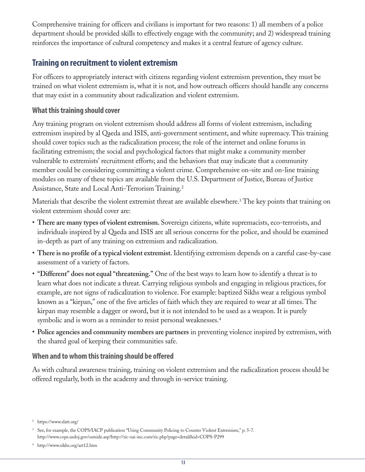Comprehensive training for officers and civilians is important for two reasons: 1) all members of a police department should be provided skills to effectively engage with the community; and 2) widespread training reinforces the importance of cultural competency and makes it a central feature of agency culture.

### **Training on recruitment to violent extremism**

For officers to appropriately interact with citizens regarding violent extremism prevention, they must be trained on what violent extremism is, what it is not, and how outreach officers should handle any concerns that may exist in a community about radicalization and violent extremism.

#### **What this training should cover**

Any training program on violent extremism should address all forms of violent extremism, including extremism inspired by al Qaeda and ISIS, anti-government sentiment, and white supremacy. This training should cover topics such as the radicalization process; the role of the internet and online forums in facilitating extremism; the social and psychological factors that might make a community member vulnerable to extremists' recruitment efforts; and the behaviors that may indicate that a community member could be considering committing a violent crime. Comprehensive on-site and on-line training modules on many of these topics are available from the U.S. Department of Justice, Bureau of Justice Assistance, State and Local Anti-Terrorism Training.2

Materials that describe the violent extremist threat are available elsewhere.3 The key points that training on violent extremism should cover are:

- **There are many types of violent extremism.** Sovereign citizens, white supremacists, eco-terrorists, and individuals inspired by al Qaeda and ISIS are all serious concerns for the police, and should be examined in-depth as part of any training on extremism and radicalization.
- **There is no profile of a typical violent extremist.** Identifying extremism depends on a careful case-by-case assessment of a variety of factors.
- **"Different" does not equal "threatening."** One of the best ways to learn how to identify a threat is to learn what does not indicate a threat. Carrying religious symbols and engaging in religious practices, for example, are not signs of radicalization to violence. For example: baptized Sikhs wear a religious symbol known as a "kirpan," one of the five articles of faith which they are required to wear at all times. The kirpan may resemble a dagger or sword, but it is not intended to be used as a weapon. It is purely symbolic and is worn as a reminder to resist personal weaknesses.<sup>4</sup>
- **Police agencies and community members are partners** in preventing violence inspired by extremism, with the shared goal of keeping their communities safe.

#### **When and to whom this training should be offered**

As with cultural awareness training, training on violent extremism and the radicalization process should be offered regularly, both in the academy and through in-service training.

<sup>2</sup> https://www.slatt.org/

<sup>&</sup>lt;sup>3</sup> See, for example, the COPS/IACP publication "Using Community Policing to Counter Violent Extremism," p. 5-7. http://www.cops.usdoj.gov/outside.asp?http://ric-zai-inc.com/ric.php?page=detail&id=COPS-P299

<sup>4</sup> http://www.sikhs.org/art12.htm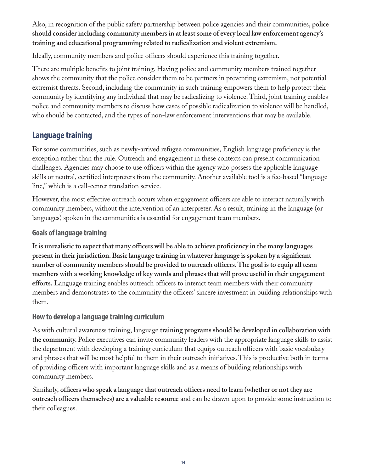Also, in recognition of the public safety partnership between police agencies and their communities, **police should consider including community members in at least some of every local law enforcement agency's training and educational programming related to radicalization and violent extremism.** 

Ideally, community members and police officers should experience this training together.

There are multiple benefits to joint training. Having police and community members trained together shows the community that the police consider them to be partners in preventing extremism, not potential extremist threats. Second, including the community in such training empowers them to help protect their community by identifying any individual that may be radicalizing to violence. Third, joint training enables police and community members to discuss how cases of possible radicalization to violence will be handled, who should be contacted, and the types of non-law enforcement interventions that may be available.

# **Language training**

For some communities, such as newly-arrived refugee communities, English language proficiency is the exception rather than the rule. Outreach and engagement in these contexts can present communication challenges. Agencies may choose to use officers within the agency who possess the applicable language skills or neutral, certified interpreters from the community. Another available tool is a fee-based "language line," which is a call-center translation service.

However, the most effective outreach occurs when engagement officers are able to interact naturally with community members, without the intervention of an interpreter. As a result, training in the language (or languages) spoken in the communities is essential for engagement team members.

#### **Goals of language training**

**It is unrealistic to expect that many officers will be able to achieve proficiency in the many languages present in their jurisdiction. Basic language training in whatever language is spoken by a significant number of community members should be provided to outreach officers. The goal is to equip all team members with a working knowledge of key words and phrases that will prove useful in their engagement efforts.** Language training enables outreach officers to interact team members with their community members and demonstrates to the community the officers' sincere investment in building relationships with them.

#### **How to develop a language training curriculum**

As with cultural awareness training, language **training programs should be developed in collaboration with the community.** Police executives can invite community leaders with the appropriate language skills to assist the department with developing a training curriculum that equips outreach officers with basic vocabulary and phrases that will be most helpful to them in their outreach initiatives. This is productive both in terms of providing officers with important language skills and as a means of building relationships with community members.

Similarly, **officers who speak a language that outreach officers need to learn (whether or not they are outreach officers themselves) are a valuable resource** and can be drawn upon to provide some instruction to their colleagues.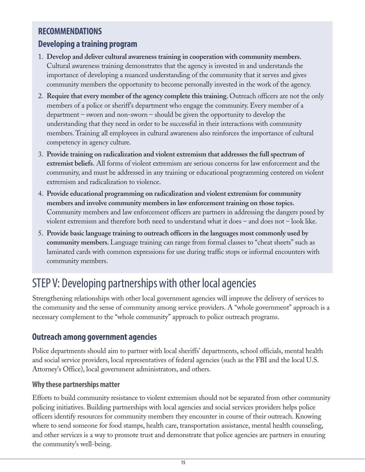# **RECOMMENDATIONS**

### **Developing a training program**

- 1. **Develop and deliver cultural awareness training in cooperation with community members.** Cultural awareness training demonstrates that the agency is invested in and understands the importance of developing a nuanced understanding of the community that it serves and gives community members the opportunity to become personally invested in the work of the agency.
- 2. **Require that every member of the agency complete this training.** Outreach officers are not the only members of a police or sheriff's department who engage the community. Every member of a department – sworn and non-sworn – should be given the opportunity to develop the understanding that they need in order to be successful in their interactions with community members. Training all employees in cultural awareness also reinforces the importance of cultural competency in agency culture.
- 3. **Provide training on radicalization and violent extremism that addresses the full spectrum of extremist beliefs.** All forms of violent extremism are serious concerns for law enforcement and the community, and must be addressed in any training or educational programming centered on violent extremism and radicalization to violence.
- 4. **Provide educational programming on radicalization and violent extremism for community members and involve community members in law enforcement training on those topics.** Community members and law enforcement officers are partners in addressing the dangers posed by violent extremism and therefore both need to understand what it does – and does not – look like.
- 5. **Provide basic language training to outreach officers in the languages most commonly used by community members.** Language training can range from formal classes to "cheat sheets" such as laminated cards with common expressions for use during traffic stops or informal encounters with community members.

# STEP V: Developing partnerships with other local agencies

Strengthening relationships with other local government agencies will improve the delivery of services to the community and the sense of community among service providers. A "whole government" approach is a necessary complement to the "whole community" approach to police outreach programs.

#### **Outreach among government agencies**

Police departments should aim to partner with local sheriffs' departments, school officials, mental health and social service providers, local representatives of federal agencies (such as the FBI and the local U.S. Attorney's Office), local government administrators, and others.

#### **Why these partnerships matter**

Efforts to build community resistance to violent extremism should not be separated from other community policing initiatives. Building partnerships with local agencies and social services providers helps police officers identify resources for community members they encounter in course of their outreach. Knowing where to send someone for food stamps, health care, transportation assistance, mental health counseling, and other services is a way to promote trust and demonstrate that police agencies are partners in ensuring the community's well-being.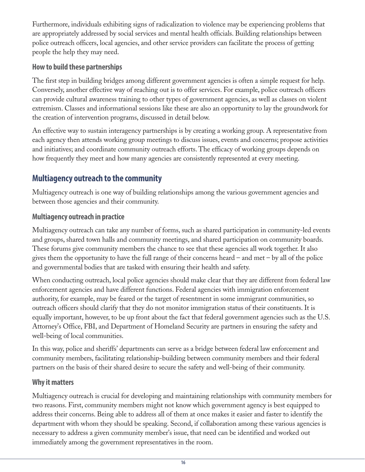Furthermore, individuals exhibiting signs of radicalization to violence may be experiencing problems that are appropriately addressed by social services and mental health officials. Building relationships between police outreach officers, local agencies, and other service providers can facilitate the process of getting people the help they may need.

#### **How to build these partnerships**

The first step in building bridges among different government agencies is often a simple request for help. Conversely, another effective way of reaching out is to offer services. For example, police outreach officers can provide cultural awareness training to other types of government agencies, as well as classes on violent extremism. Classes and informational sessions like these are also an opportunity to lay the groundwork for the creation of intervention programs, discussed in detail below.

An effective way to sustain interagency partnerships is by creating a working group. A representative from each agency then attends working group meetings to discuss issues, events and concerns; propose activities and initiatives; and coordinate community outreach efforts. The efficacy of working groups depends on how frequently they meet and how many agencies are consistently represented at every meeting.

# **Multiagency outreach to the community**

Multiagency outreach is one way of building relationships among the various government agencies and between those agencies and their community.

#### **Multiagency outreach in practice**

Multiagency outreach can take any number of forms, such as shared participation in community-led events and groups, shared town halls and community meetings, and shared participation on community boards. These forums give community members the chance to see that these agencies all work together. It also gives them the opportunity to have the full range of their concerns heard – and met – by all of the police and governmental bodies that are tasked with ensuring their health and safety.

When conducting outreach, local police agencies should make clear that they are different from federal law enforcement agencies and have different functions. Federal agencies with immigration enforcement authority, for example, may be feared or the target of resentment in some immigrant communities, so outreach officers should clarify that they do not monitor immigration status of their constituents. It is equally important, however, to be up front about the fact that federal government agencies such as the U.S. Attorney's Office, FBI, and Department of Homeland Security are partners in ensuring the safety and well-being of local communities.

In this way, police and sheriffs' departments can serve as a bridge between federal law enforcement and community members, facilitating relationship-building between community members and their federal partners on the basis of their shared desire to secure the safety and well-being of their community.

#### **Why it matters**

Multiagency outreach is crucial for developing and maintaining relationships with community members for two reasons. First, community members might not know which government agency is best equipped to address their concerns. Being able to address all of them at once makes it easier and faster to identify the department with whom they should be speaking. Second, if collaboration among these various agencies is necessary to address a given community member's issue, that need can be identified and worked out immediately among the government representatives in the room.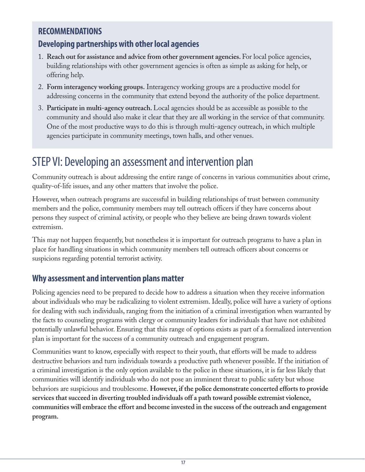### **RECOMMENDATIONS**

# **Developing partnerships with other local agencies**

- 1. **Reach out for assistance and advice from other government agencies.** For local police agencies, building relationships with other government agencies is often as simple as asking for help, or offering help.
- 2. **Form interagency working groups.** Interagency working groups are a productive model for addressing concerns in the community that extend beyond the authority of the police department.
- 3. **Participate in multi-agency outreach.** Local agencies should be as accessible as possible to the community and should also make it clear that they are all working in the service of that community. One of the most productive ways to do this is through multi-agency outreach, in which multiple agencies participate in community meetings, town halls, and other venues.

# STEP VI: Developing an assessment and intervention plan

Community outreach is about addressing the entire range of concerns in various communities about crime, quality-of-life issues, and any other matters that involve the police.

However, when outreach programs are successful in building relationships of trust between community members and the police, community members may tell outreach officers if they have concerns about persons they suspect of criminal activity, or people who they believe are being drawn towards violent extremism.

This may not happen frequently, but nonetheless it is important for outreach programs to have a plan in place for handling situations in which community members tell outreach officers about concerns or suspicions regarding potential terrorist activity.

#### **Why assessment and intervention plans matter**

Policing agencies need to be prepared to decide how to address a situation when they receive information about individuals who may be radicalizing to violent extremism. Ideally, police will have a variety of options for dealing with such individuals, ranging from the initiation of a criminal investigation when warranted by the facts to counseling programs with clergy or community leaders for individuals that have not exhibited potentially unlawful behavior. Ensuring that this range of options exists as part of a formalized intervention plan is important for the success of a community outreach and engagement program.

Communities want to know, especially with respect to their youth, that efforts will be made to address destructive behaviors and turn individuals towards a productive path whenever possible. If the initiation of a criminal investigation is the only option available to the police in these situations, it is far less likely that communities will identify individuals who do not pose an imminent threat to public safety but whose behaviors are suspicious and troublesome. **However, if the police demonstrate concerted efforts to provide services that succeed in diverting troubled individuals off a path toward possible extremist violence, communities will embrace the effort and become invested in the success of the outreach and engagement program.**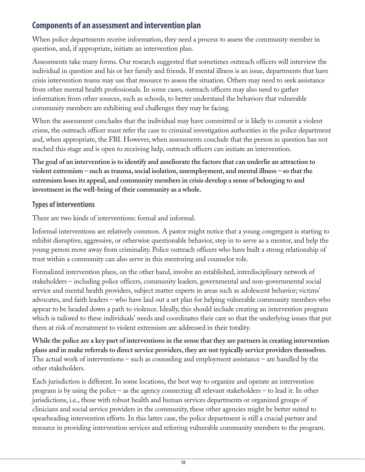# **Components of an assessment and intervention plan**

When police departments receive information, they need a process to assess the community member in question, and, if appropriate, initiate an intervention plan.

Assessments take many forms. Our research suggested that sometimes outreach officers will interview the individual in question and his or her family and friends. If mental illness is an issue, departments that have crisis intervention teams may use that resource to assess the situation. Others may need to seek assistance from other mental health professionals. In some cases, outreach officers may also need to gather information from other sources, such as schools, to better understand the behaviors that vulnerable community members are exhibiting and challenges they may be facing.

When the assessment concludes that the individual may have committed or is likely to commit a violent crime, the outreach officer must refer the case to criminal investigation authorities in the police department and, when appropriate, the FBI. However, when assessments conclude that the person in question has not reached this stage and is open to receiving help, outreach officers can initiate an intervention.

**The goal of an intervention is to identify and ameliorate the factors that can underlie an attraction to violent extremism – such as trauma, social isolation, unemployment, and mental illness – so that the extremism loses its appeal, and community members in crisis develop a sense of belonging to and investment in the well-being of their community as a whole.**

#### **Types of interventions**

There are two kinds of interventions: formal and informal.

Informal interventions are relatively common. A pastor might notice that a young congregant is starting to exhibit disruptive, aggressive, or otherwise questionable behavior, step in to serve as a mentor, and help the young person move away from criminality. Police outreach officers who have built a strong relationship of trust within a community can also serve in this mentoring and counselor role.

Formalized intervention plans, on the other hand, involve an established, interdisciplinary network of stakeholders – including police officers, community leaders, governmental and non-governmental social service and mental health providers, subject matter experts in areas such as adolescent behavior; victims' advocates, and faith leaders – who have laid out a set plan for helping vulnerable community members who appear to be headed down a path to violence. Ideally, this should include creating an intervention program which is tailored to these individuals' needs and coordinates their care so that the underlying issues that put them at risk of recruitment to violent extremism are addressed in their totality.

**While the police are a key part of interventions in the sense that they are partners in creating intervention plans and in make referrals to direct service providers, they are not typically service providers themselves.** The actual work of interventions – such as counseling and employment assistance – are handled by the other stakeholders.

Each jurisdiction is different. In some locations, the best way to organize and operate an intervention program is by using the police – as the agency connecting all relevant stakeholders – to lead it. In other jurisdictions, i.e., those with robust health and human services departments or organized groups of clinicians and social service providers in the community, these other agencies might be better suited to spearheading intervention efforts. In this latter case, the police department is still a crucial partner and resource in providing intervention services and referring vulnerable community members to the program.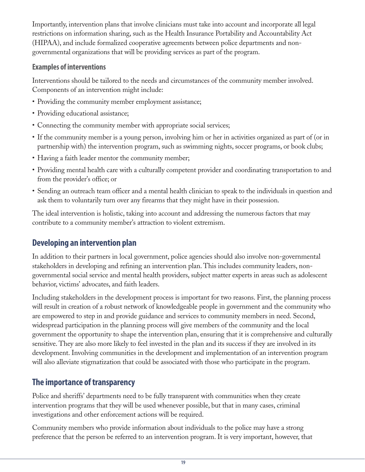Importantly, intervention plans that involve clinicians must take into account and incorporate all legal restrictions on information sharing, such as the Health Insurance Portability and Accountability Act (HIPAA), and include formalized cooperative agreements between police departments and nongovernmental organizations that will be providing services as part of the program.

#### **Examples of interventions**

Interventions should be tailored to the needs and circumstances of the community member involved. Components of an intervention might include:

- Providing the community member employment assistance;
- Providing educational assistance;
- Connecting the community member with appropriate social services;
- If the community member is a young person, involving him or her in activities organized as part of (or in partnership with) the intervention program, such as swimming nights, soccer programs, or book clubs;
- Having a faith leader mentor the community member;
- Providing mental health care with a culturally competent provider and coordinating transportation to and from the provider's office; or
- Sending an outreach team officer and a mental health clinician to speak to the individuals in question and ask them to voluntarily turn over any firearms that they might have in their possession.

The ideal intervention is holistic, taking into account and addressing the numerous factors that may contribute to a community member's attraction to violent extremism.

# **Developing an intervention plan**

In addition to their partners in local government, police agencies should also involve non-governmental stakeholders in developing and refining an intervention plan. This includes community leaders, nongovernmental social service and mental health providers, subject matter experts in areas such as adolescent behavior, victims' advocates, and faith leaders.

Including stakeholders in the development process is important for two reasons. First, the planning process will result in creation of a robust network of knowledgeable people in government and the community who are empowered to step in and provide guidance and services to community members in need. Second, widespread participation in the planning process will give members of the community and the local government the opportunity to shape the intervention plan, ensuring that it is comprehensive and culturally sensitive. They are also more likely to feel invested in the plan and its success if they are involved in its development. Involving communities in the development and implementation of an intervention program will also alleviate stigmatization that could be associated with those who participate in the program.

# **The importance of transparency**

Police and sheriffs' departments need to be fully transparent with communities when they create intervention programs that they will be used whenever possible, but that in many cases, criminal investigations and other enforcement actions will be required.

Community members who provide information about individuals to the police may have a strong preference that the person be referred to an intervention program. It is very important, however, that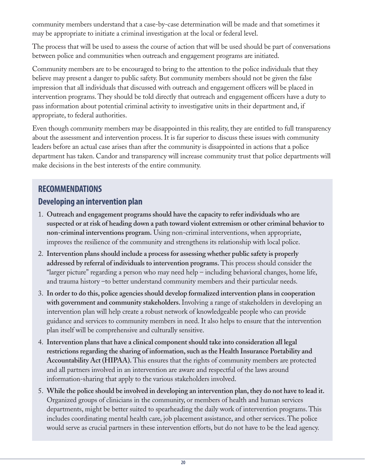community members understand that a case-by-case determination will be made and that sometimes it may be appropriate to initiate a criminal investigation at the local or federal level.

The process that will be used to assess the course of action that will be used should be part of conversations between police and communities when outreach and engagement programs are initiated.

Community members are to be encouraged to bring to the attention to the police individuals that they believe may present a danger to public safety. But community members should not be given the false impression that all individuals that discussed with outreach and engagement officers will be placed in intervention programs. They should be told directly that outreach and engagement officers have a duty to pass information about potential criminal activity to investigative units in their department and, if appropriate, to federal authorities.

Even though community members may be disappointed in this reality, they are entitled to full transparency about the assessment and intervention process. It is far superior to discuss these issues with community leaders before an actual case arises than after the community is disappointed in actions that a police department has taken. Candor and transparency will increase community trust that police departments will make decisions in the best interests of the entire community.

# **RECOMMENDATIONS Developing an intervention plan**

- 1. **Outreach and engagement programs should have the capacity to refer individuals who are suspected or at risk of heading down a path toward violent extremism or other criminal behavior to non-criminal interventions program.** Using non-criminal interventions, when appropriate, improves the resilience of the community and strengthens its relationship with local police.
- 2. **Intervention plans should include a process for assessing whether public safety is properly addressed by referral of individuals to intervention programs.** This process should consider the "larger picture" regarding a person who may need help – including behavioral changes, home life, and trauma history –to better understand community members and their particular needs.
- 3. **In order to do this, police agencies should develop formalized intervention plans in cooperation with government and community stakeholders.** Involving a range of stakeholders in developing an intervention plan will help create a robust network of knowledgeable people who can provide guidance and services to community members in need. It also helps to ensure that the intervention plan itself will be comprehensive and culturally sensitive.
- 4. **Intervention plans that have a clinical component should take into consideration all legal restrictions regarding the sharing of information, such as the Health Insurance Portability and Accountability Act (HIPAA).** This ensures that the rights of community members are protected and all partners involved in an intervention are aware and respectful of the laws around information-sharing that apply to the various stakeholders involved.
- 5. **While the police should be involved in developing an intervention plan, they do not have to lead it.** Organized groups of clinicians in the community, or members of health and human services departments, might be better suited to spearheading the daily work of intervention programs. This includes coordinating mental health care, job placement assistance, and other services. The police would serve as crucial partners in these intervention efforts, but do not have to be the lead agency.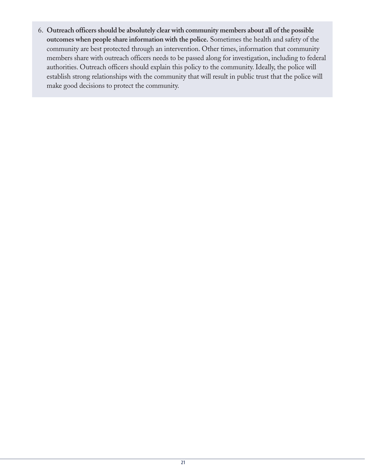6. **Outreach officers should be absolutely clear with community members about all of the possible outcomes when people share information with the police.** Sometimes the health and safety of the community are best protected through an intervention. Other times, information that community members share with outreach officers needs to be passed along for investigation, including to federal authorities. Outreach officers should explain this policy to the community. Ideally, the police will establish strong relationships with the community that will result in public trust that the police will make good decisions to protect the community.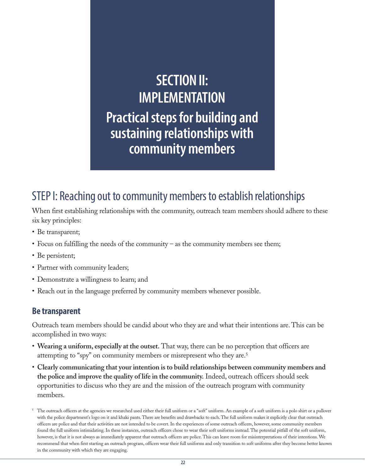# **SECTION II: IMPLEMENTATION Practical steps for building and sustaining relationships with community members**

# STEP I: Reaching out to community members to establish relationships

When first establishing relationships with the community, outreach team members should adhere to these six key principles:

- Be transparent;
- Focus on fulfilling the needs of the community as the community members see them;
- Be persistent;
- Partner with community leaders;
- Demonstrate a willingness to learn; and
- Reach out in the language preferred by community members whenever possible.

#### **Be transparent**

Outreach team members should be candid about who they are and what their intentions are. This can be accomplished in two ways:

- **Wearing a uniform, especially at the outset.** That way, there can be no perception that officers are attempting to "spy" on community members or misrepresent who they are.<sup>5</sup>
- **Clearly communicating that your intention is to build relationships between community members and the police and improve the quality of life in the community.** Indeed, outreach officers should seek opportunities to discuss who they are and the mission of the outreach program with community members.

The outreach officers at the agencies we researched used either their full uniform or a "soft" uniform. An example of a soft uniform is a polo shirt or a pullover with the police department's logo on it and khaki pants. There are benefits and drawbacks to each. The full uniform makes it explicitly clear that outreach officers are police and that their activities are not intended to be covert. In the experiences of some outreach officers, however, some community members found the full uniform intimidating. In these instances, outreach officers chose to wear their soft uniforms instead. The potential pitfall of the soft uniform, however, is that it is not always as immediately apparent that outreach officers are police. This can leave room for misinterpretations of their intentions. We recommend that when first starting an outreach program, officers wear their full uniforms and only transition to soft uniforms after they become better known in the community with which they are engaging.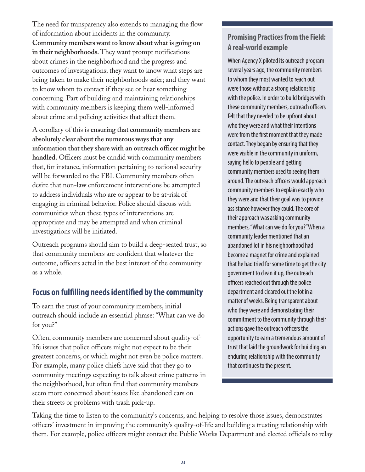The need for transparency also extends to managing the flow of information about incidents in the community. **Community members want to know about what is going on in their neighborhoods.** They want prompt notifications about crimes in the neighborhood and the progress and outcomes of investigations; they want to know what steps are being taken to make their neighborhoods safer; and they want to know whom to contact if they see or hear something concerning. Part of building and maintaining relationships with community members is keeping them well-informed about crime and policing activities that affect them.

A corollary of this is **ensuring that community members are absolutely clear about the numerous ways that any information that they share with an outreach officer might be handled.** Officers must be candid with community members that, for instance, information pertaining to national security will be forwarded to the FBI. Community members often desire that non-law enforcement interventions be attempted to address individuals who are or appear to be at-risk of engaging in criminal behavior. Police should discuss with communities when these types of interventions are appropriate and may be attempted and when criminal investigations will be initiated.

Outreach programs should aim to build a deep-seated trust, so that community members are confident that whatever the outcome, officers acted in the best interest of the community as a whole.

#### **Focus on fulfilling needs identified by the community**

To earn the trust of your community members, initial outreach should include an essential phrase: "What can we do for you?"

Often, community members are concerned about quality-oflife issues that police officers might not expect to be their greatest concerns, or which might not even be police matters. For example, many police chiefs have said that they go to community meetings expecting to talk about crime patterns in the neighborhood, but often find that community members seem more concerned about issues like abandoned cars on their streets or problems with trash pick-up.

#### **Promising Practices from the Field: A real-world example**

When Agency X piloted its outreach program several years ago, the community members to whom they most wanted to reach out were those without a strong relationship with the police. In order to build bridges with these community members, outreach officers felt that they needed to be upfront about who they were and what their intentions were from the first moment that they made contact. They began by ensuring that they were visible in the community in uniform, saying hello to people and getting community members used to seeing them around. The outreach officers would approach community members to explain exactly who they were and that their goal was to provide assistance however they could. The core of their approach was asking community members, "What can we do for you?" When a community leader mentioned that an abandoned lot in his neighborhood had become a magnet for crime and explained that he had tried for some time to get the city government to clean it up, the outreach officers reached out through the police department and cleared out the lot in a matter of weeks. Being transparent about who they were and demonstrating their commitment to the community through their actions gave the outreach officers the opportunity to earn a tremendous amount of trust that laid the groundwork for building an enduring relationship with the community that continues to the present.

Taking the time to listen to the community's concerns, and helping to resolve those issues, demonstrates officers' investment in improving the community's quality-of-life and building a trusting relationship with them. For example, police officers might contact the Public Works Department and elected officials to relay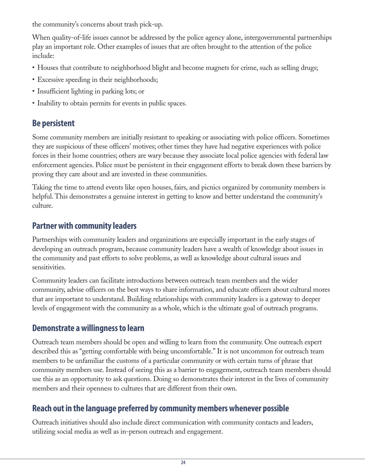the community's concerns about trash pick-up.

When quality-of-life issues cannot be addressed by the police agency alone, intergovernmental partnerships play an important role. Other examples of issues that are often brought to the attention of the police include:

- Houses that contribute to neighborhood blight and become magnets for crime, such as selling drugs;
- Excessive speeding in their neighborhoods;
- Insufficient lighting in parking lots; or
- Inability to obtain permits for events in public spaces.

# **Be persistent**

Some community members are initially resistant to speaking or associating with police officers. Sometimes they are suspicious of these officers' motives; other times they have had negative experiences with police forces in their home countries; others are wary because they associate local police agencies with federal law enforcement agencies. Police must be persistent in their engagement efforts to break down these barriers by proving they care about and are invested in these communities.

Taking the time to attend events like open houses, fairs, and picnics organized by community members is helpful. This demonstrates a genuine interest in getting to know and better understand the community's culture.

# **Partner with community leaders**

Partnerships with community leaders and organizations are especially important in the early stages of developing an outreach program, because community leaders have a wealth of knowledge about issues in the community and past efforts to solve problems, as well as knowledge about cultural issues and sensitivities.

Community leaders can facilitate introductions between outreach team members and the wider community, advise officers on the best ways to share information, and educate officers about cultural mores that are important to understand. Building relationships with community leaders is a gateway to deeper levels of engagement with the community as a whole, which is the ultimate goal of outreach programs.

# **Demonstrate a willingness to learn**

Outreach team members should be open and willing to learn from the community. One outreach expert described this as "getting comfortable with being uncomfortable." It is not uncommon for outreach team members to be unfamiliar the customs of a particular community or with certain turns of phrase that community members use. Instead of seeing this as a barrier to engagement, outreach team members should use this as an opportunity to ask questions. Doing so demonstrates their interest in the lives of community members and their openness to cultures that are different from their own.

# **Reach out in the language preferred by community members whenever possible**

Outreach initiatives should also include direct communication with community contacts and leaders, utilizing social media as well as in-person outreach and engagement.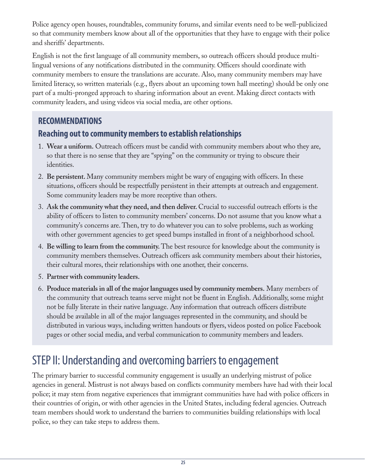Police agency open houses, roundtables, community forums, and similar events need to be well-publicized so that community members know about all of the opportunities that they have to engage with their police and sheriffs' departments.

English is not the first language of all community members, so outreach officers should produce multilingual versions of any notifications distributed in the community. Officers should coordinate with community members to ensure the translations are accurate. Also, many community members may have limited literacy, so written materials (e.g., flyers about an upcoming town hall meeting) should be only one part of a multi-pronged approach to sharing information about an event. Making direct contacts with community leaders, and using videos via social media, are other options.

# **RECOMMENDATIONS**

# **Reaching out to community members to establish relationships**

- 1. **Wear a uniform.** Outreach officers must be candid with community members about who they are, so that there is no sense that they are "spying" on the community or trying to obscure their identities.
- 2. **Be persistent.** Many community members might be wary of engaging with officers. In these situations, officers should be respectfully persistent in their attempts at outreach and engagement. Some community leaders may be more receptive than others.
- 3. **Ask the community what they need, and then deliver.** Crucial to successful outreach efforts is the ability of officers to listen to community members' concerns. Do not assume that you know what a community's concerns are. Then, try to do whatever you can to solve problems, such as working with other government agencies to get speed bumps installed in front of a neighborhood school.
- 4. **Be willing to learn from the community.** The best resource for knowledge about the community is community members themselves. Outreach officers ask community members about their histories, their cultural mores, their relationships with one another, their concerns.
- 5. **Partner with community leaders.**
- 6. **Produce materials in all of the major languages used by community members.** Many members of the community that outreach teams serve might not be fluent in English. Additionally, some might not be fully literate in their native language. Any information that outreach officers distribute should be available in all of the major languages represented in the community, and should be distributed in various ways, including written handouts or flyers, videos posted on police Facebook pages or other social media, and verbal communication to community members and leaders.

# STEP II: Understanding and overcoming barriers to engagement

The primary barrier to successful community engagement is usually an underlying mistrust of police agencies in general. Mistrust is not always based on conflicts community members have had with their local police; it may stem from negative experiences that immigrant communities have had with police officers in their countries of origin, or with other agencies in the United States, including federal agencies. Outreach team members should work to understand the barriers to communities building relationships with local police, so they can take steps to address them.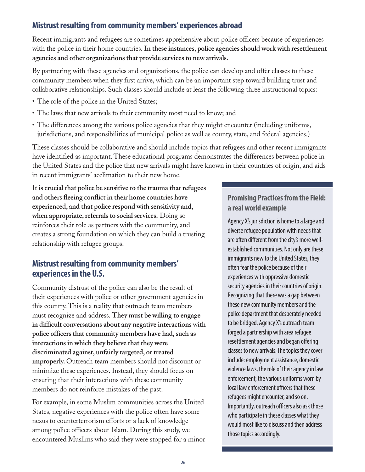# **Mistrust resulting from community members' experiences abroad**

Recent immigrants and refugees are sometimes apprehensive about police officers because of experiences with the police in their home countries. **In these instances, police agencies should work with resettlement agencies and other organizations that provide services to new arrivals.** 

By partnering with these agencies and organizations, the police can develop and offer classes to these community members when they first arrive, which can be an important step toward building trust and collaborative relationships. Such classes should include at least the following three instructional topics:

- The role of the police in the United States;
- The laws that new arrivals to their community most need to know; and
- The differences among the various police agencies that they might encounter (including uniforms, jurisdictions, and responsibilities of municipal police as well as county, state, and federal agencies.)

These classes should be collaborative and should include topics that refugees and other recent immigrants have identified as important. These educational programs demonstrates the differences between police in the United States and the police that new arrivals might have known in their countries of origin, and aids in recent immigrants' acclimation to their new home.

**It is crucial that police be sensitive to the trauma that refugees and others fleeing conflict in their home countries have experienced, and that police respond with sensitivity and, when appropriate, referrals to social services.** Doing so reinforces their role as partners with the community, and creates a strong foundation on which they can build a trusting relationship with refugee groups.

### **Mistrust resulting from community members' experiences in the U.S.**

Community distrust of the police can also be the result of their experiences with police or other government agencies in this country. This is a reality that outreach team members must recognize and address. **They must be willing to engage in difficult conversations about any negative interactions with police officers that community members have had, such as interactions in which they believe that they were discriminated against, unfairly targeted, or treated improperly.** Outreach team members should not discount or minimize these experiences. Instead, they should focus on ensuring that their interactions with these community members do not reinforce mistakes of the past.

For example, in some Muslim communities across the United States, negative experiences with the police often have some nexus to counterterrorism efforts or a lack of knowledge among police officers about Islam. During this study, we encountered Muslims who said they were stopped for a minor

#### **Promising Practices from the Field: a real world example**

Agency X's jurisdiction is home to a large and diverse refugee population with needs that are often different from the city's more wellestablished communities. Not only are these immigrants new to the United States, they often fear the police because of their experiences with oppressive domestic security agencies in their countries of origin. Recognizing that there was a gap between these new community members and the police department that desperately needed to be bridged, Agency X's outreach team forged a partnership with area refugee resettlement agencies and began offering classes to new arrivals. The topics they cover include: employment assistance, domestic violence laws, the role of their agency in law enforcement, the various uniforms worn by local law enforcement officers that these refugees might encounter, and so on. Importantly, outreach officers also ask those who participate in these classes what they would most like to discuss and then address those topics accordingly.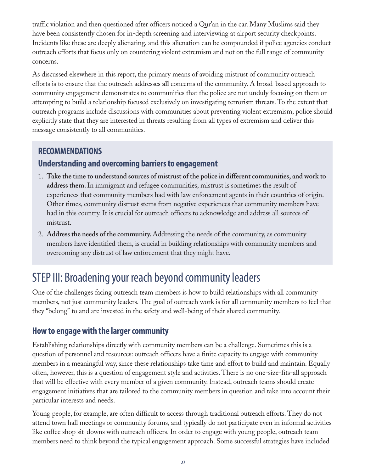traffic violation and then questioned after officers noticed a Qur'an in the car. Many Muslims said they have been consistently chosen for in-depth screening and interviewing at airport security checkpoints. Incidents like these are deeply alienating, and this alienation can be compounded if police agencies conduct outreach efforts that focus only on countering violent extremism and not on the full range of community concerns.

As discussed elsewhere in this report, the primary means of avoiding mistrust of community outreach efforts is to ensure that the outreach addresses **all** concerns of the community. A broad-based approach to community engagement demonstrates to communities that the police are not unduly focusing on them or attempting to build a relationship focused exclusively on investigating terrorism threats. To the extent that outreach programs include discussions with communities about preventing violent extremism, police should explicitly state that they are interested in threats resulting from all types of extremism and deliver this message consistently to all communities.

# **RECOMMENDATIONS**

# **Understanding and overcoming barriers to engagement**

- 1. **Take the time to understand sources of mistrust of the police in different communities, and work to address them.** In immigrant and refugee communities, mistrust is sometimes the result of experiences that community members had with law enforcement agents in their countries of origin. Other times, community distrust stems from negative experiences that community members have had in this country. It is crucial for outreach officers to acknowledge and address all sources of mistrust.
- 2. **Address the needs of the community.** Addressing the needs of the community, as community members have identified them, is crucial in building relationships with community members and overcoming any distrust of law enforcement that they might have.

# STEP III: Broadening your reach beyond community leaders

One of the challenges facing outreach team members is how to build relationships with all community members, not just community leaders. The goal of outreach work is for all community members to feel that they "belong" to and are invested in the safety and well-being of their shared community.

# **How to engage with the larger community**

Establishing relationships directly with community members can be a challenge. Sometimes this is a question of personnel and resources: outreach officers have a finite capacity to engage with community members in a meaningful way, since these relationships take time and effort to build and maintain. Equally often, however, this is a question of engagement style and activities. There is no one-size-fits-all approach that will be effective with every member of a given community. Instead, outreach teams should create engagement initiatives that are tailored to the community members in question and take into account their particular interests and needs.

Young people, for example, are often difficult to access through traditional outreach efforts. They do not attend town hall meetings or community forums, and typically do not participate even in informal activities like coffee shop sit-downs with outreach officers. In order to engage with young people, outreach team members need to think beyond the typical engagement approach. Some successful strategies have included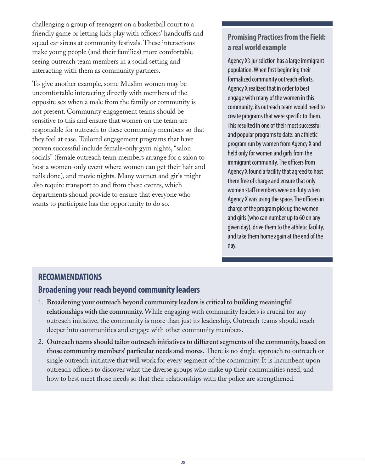challenging a group of teenagers on a basketball court to a friendly game or letting kids play with officers' handcuffs and squad car sirens at community festivals. These interactions make young people (and their families) more comfortable seeing outreach team members in a social setting and interacting with them as community partners.

To give another example, some Muslim women may be uncomfortable interacting directly with members of the opposite sex when a male from the family or community is not present. Community engagement teams should be sensitive to this and ensure that women on the team are responsible for outreach to these community members so that they feel at ease. Tailored engagement programs that have proven successful include female-only gym nights, "salon socials" (female outreach team members arrange for a salon to host a women-only event where women can get their hair and nails done), and movie nights. Many women and girls might also require transport to and from these events, which departments should provide to ensure that everyone who wants to participate has the opportunity to do so.

#### **Promising Practices from the Field: a real world example**

Agency X's jurisdiction has a large immigrant population. When first beginning their formalized community outreach efforts, Agency X realized that in order to best engage with many of the women in this community, its outreach team would need to create programs that were specific to them. This resulted in one of their most successful and popular programs to date: an athletic program run by women from Agency X and held only for women and girls from the immigrant community. The officers from Agency X found a facility that agreed to host them free of charge and ensure that only women staff members were on duty when Agency X was using the space. The officers in charge of the program pick up the women and girls (who can number up to 60 on any given day), drive them to the athletic facility, and take them home again at the end of the day.

# **RECOMMENDATIONS**

#### **Broadening your reach beyond community leaders**

- 1. **Broadening your outreach beyond community leaders is critical to building meaningful relationships with the community.** While engaging with community leaders is crucial for any outreach initiative, the community is more than just its leadership. Outreach teams should reach deeper into communities and engage with other community members.
- 2. **Outreach teams should tailor outreach initiatives to different segments of the community, based on those community members' particular needs and mores.** There is no single approach to outreach or single outreach initiative that will work for every segment of the community. It is incumbent upon outreach officers to discover what the diverse groups who make up their communities need, and how to best meet those needs so that their relationships with the police are strengthened.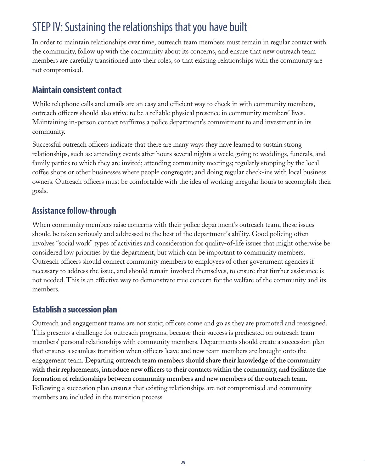# STEP IV: Sustaining the relationships that you have built

In order to maintain relationships over time, outreach team members must remain in regular contact with the community, follow up with the community about its concerns, and ensure that new outreach team members are carefully transitioned into their roles, so that existing relationships with the community are not compromised.

#### **Maintain consistent contact**

While telephone calls and emails are an easy and efficient way to check in with community members, outreach officers should also strive to be a reliable physical presence in community members' lives. Maintaining in-person contact reaffirms a police department's commitment to and investment in its community.

Successful outreach officers indicate that there are many ways they have learned to sustain strong relationships, such as: attending events after hours several nights a week; going to weddings, funerals, and family parties to which they are invited; attending community meetings; regularly stopping by the local coffee shops or other businesses where people congregate; and doing regular check-ins with local business owners. Outreach officers must be comfortable with the idea of working irregular hours to accomplish their goals.

#### **Assistance follow-through**

When community members raise concerns with their police department's outreach team, these issues should be taken seriously and addressed to the best of the department's ability. Good policing often involves "social work" types of activities and consideration for quality-of-life issues that might otherwise be considered low priorities by the department, but which can be important to community members. Outreach officers should connect community members to employees of other government agencies if necessary to address the issue, and should remain involved themselves, to ensure that further assistance is not needed. This is an effective way to demonstrate true concern for the welfare of the community and its members.

#### **Establish a succession plan**

Outreach and engagement teams are not static; officers come and go as they are promoted and reassigned. This presents a challenge for outreach programs, because their success is predicated on outreach team members' personal relationships with community members. Departments should create a succession plan that ensures a seamless transition when officers leave and new team members are brought onto the engagement team. Departing **outreach team members should share their knowledge of the community with their replacements, introduce new officers to their contacts within the community, and facilitate the formation of relationships between community members and new members of the outreach team.** Following a succession plan ensures that existing relationships are not compromised and community members are included in the transition process.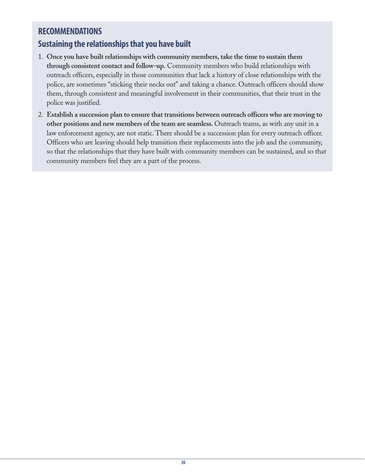### **RECOMMENDATIONS**

# **Sustaining the relationships that you have built**

- 1. **Once you have built relationships with community members, take the time to sustain them through consistent contact and follow-up.** Community members who build relationships with outreach officers, especially in those communities that lack a history of close relationships with the police, are sometimes "sticking their necks out" and taking a chance. Outreach officers should show them, through consistent and meaningful involvement in their communities, that their trust in the police was justified.
- 2. **Establish a succession plan to ensure that transitions between outreach officers who are moving to other positions and new members of the team are seamless.** Outreach teams, as with any unit in a law enforcement agency, are not static. There should be a succession plan for every outreach officer. Officers who are leaving should help transition their replacements into the job and the community, so that the relationships that they have built with community members can be sustained, and so that community members feel they are a part of the process.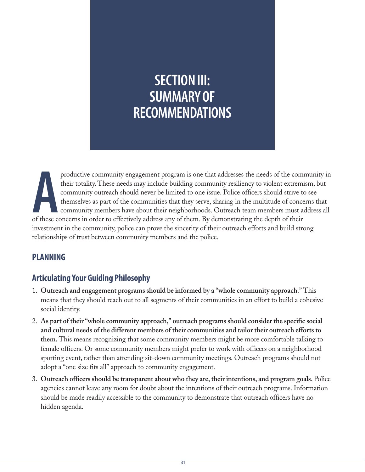# **SECTION III: SUMMARY OF RECOMMENDATIONS**

productive community engagement program is one that addresses the needs of the community. These needs may include building community resiliency to violent extrem community outreach should never be limited to one issue. Pol productive community engagement program is one that addresses the needs of the community in their totality. These needs may include building community resiliency to violent extremism, but community outreach should never be limited to one issue. Police officers should strive to see themselves as part of the communities that they serve, sharing in the multitude of concerns that community members have about their neighborhoods. Outreach team members must address all investment in the community, police can prove the sincerity of their outreach efforts and build strong relationships of trust between community members and the police.

#### **PLANNING**

# **Articulating Your Guiding Philosophy**

- 1. **Outreach and engagement programs should be informed by a "whole community approach."** This means that they should reach out to all segments of their communities in an effort to build a cohesive social identity.
- 2. **As part of their "whole community approach," outreach programs should consider the specific social and cultural needs of the different members of their communities and tailor their outreach efforts to them.** This means recognizing that some community members might be more comfortable talking to female officers. Or some community members might prefer to work with officers on a neighborhood sporting event, rather than attending sit-down community meetings. Outreach programs should not adopt a "one size fits all" approach to community engagement.
- 3. **Outreach officers should be transparent about who they are, their intentions, and program goals.** Police agencies cannot leave any room for doubt about the intentions of their outreach programs. Information should be made readily accessible to the community to demonstrate that outreach officers have no hidden agenda.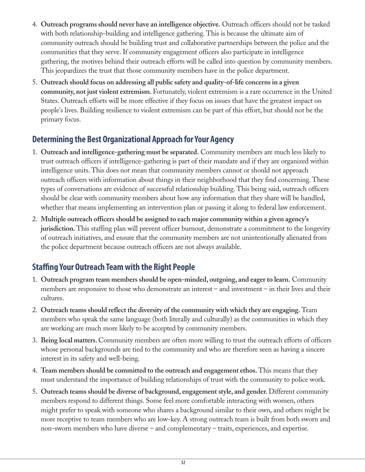- 4. **Outreach programs should never have an intelligence objective.** Outreach officers should not be tasked with both relationship-building and intelligence gathering. This is because the ultimate aim of community outreach should be building trust and collaborative partnerships between the police and the communities that they serve. If community engagement officers also participate in intelligence gathering, the motives behind their outreach efforts will be called into question by community members. This jeopardizes the trust that those community members have in the police department.
- 5. **Outreach should focus on addressing all public safety and quality-of-life concerns in a given community, not just violent extremism.** Fortunately, violent extremism is a rare occurrence in the United States. Outreach efforts will be more effective if they focus on issues that have the greatest impact on people's lives. Building resilience to violent extremism can be part of this effort, but should not be the primary focus.

# **Determining the Best Organizational Approach for Your Agency**

- 1. **Outreach and intelligence-gathering must be separated.** Community members are much less likely to trust outreach officers if intelligence-gathering is part of their mandate and if they are organized within intelligence units. This does not mean that community members cannot or should not approach outreach officers with information about things in their neighborhood that they find concerning. These types of conversations are evidence of successful relationship building. This being said, outreach officers should be clear with community members about how any information that they share will be handled, whether that means implementing an intervention plan or passing it along to federal law enforcement.
- 2. **Multiple outreach officers should be assigned to each major community within a given agency's jurisdiction.** This staffing plan will prevent officer burnout, demonstrate a commitment to the longevity of outreach initiatives, and ensure that the community members are not unintentionally alienated from the police department because outreach officers are not always available.

# **Staffing Your Outreach Team with the Right People**

- 1. **Outreach program team members should be open-minded, outgoing, and eager to learn.** Community members are responsive to those who demonstrate an interest – and investment – in their lives and their cultures.
- 2. **Outreach teams should reflect the diversity of the community with which they are engaging.** Team members who speak the same language (both literally and culturally) as the communities in which they are working are much more likely to be accepted by community members.
- 3. **Being local matters.** Community members are often more willing to trust the outreach efforts of officers whose personal backgrounds are tied to the community and who are therefore seen as having a sincere interest in its safety and well-being.
- 4. **Team members should be committed to the outreach and engagement ethos.** This means that they must understand the importance of building relationships of trust with the community to police work.
- 5. **Outreach teams should be diverse of background, engagement style, and gender.** Different community members respond to different things. Some feel more comfortable interacting with women, others might prefer to speak with someone who shares a background similar to their own, and others might be more receptive to team members who are low-key. A strong outreach team is built from both sworn and non-sworn members who have diverse – and complementary – traits, experiences, and expertise.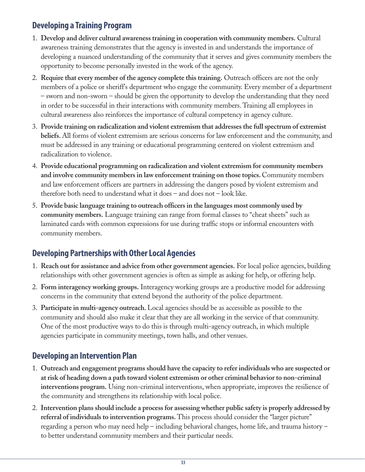# **Developing a Training Program**

- 1. **Develop and deliver cultural awareness training in cooperation with community members.** Cultural awareness training demonstrates that the agency is invested in and understands the importance of developing a nuanced understanding of the community that it serves and gives community members the opportunity to become personally invested in the work of the agency.
- 2. **Require that every member of the agency complete this training.** Outreach officers are not the only members of a police or sheriff's department who engage the community. Every member of a department – sworn and non-sworn – should be given the opportunity to develop the understanding that they need in order to be successful in their interactions with community members. Training all employees in cultural awareness also reinforces the importance of cultural competency in agency culture.
- 3. **Provide training on radicalization and violent extremism that addresses the full spectrum of extremist beliefs.** All forms of violent extremism are serious concerns for law enforcement and the community, and must be addressed in any training or educational programming centered on violent extremism and radicalization to violence.
- 4. **Provide educational programming on radicalization and violent extremism for community members and involve community members in law enforcement training on those topics.** Community members and law enforcement officers are partners in addressing the dangers posed by violent extremism and therefore both need to understand what it does – and does not – look like.
- 5. **Provide basic language training to outreach officers in the languages most commonly used by community members.** Language training can range from formal classes to "cheat sheets" such as laminated cards with common expressions for use during traffic stops or informal encounters with community members.

# **Developing Partnerships with Other Local Agencies**

- 1. **Reach out for assistance and advice from other government agencies.** For local police agencies, building relationships with other government agencies is often as simple as asking for help, or offering help.
- 2. **Form interagency working groups.** Interagency working groups are a productive model for addressing concerns in the community that extend beyond the authority of the police department.
- 3. **Participate in multi-agency outreach.** Local agencies should be as accessible as possible to the community and should also make it clear that they are all working in the service of that community. One of the most productive ways to do this is through multi-agency outreach, in which multiple agencies participate in community meetings, town halls, and other venues.

# **Developing an Intervention Plan**

- 1. **Outreach and engagement programs should have the capacity to refer individuals who are suspected or at risk of heading down a path toward violent extremism or other criminal behavior to non-criminal interventions program.** Using non-criminal interventions, when appropriate, improves the resilience of the community and strengthens its relationship with local police.
- 2. **Intervention plans should include a process for assessing whether public safety is properly addressed by referral of individuals to intervention programs.** This process should consider the "larger picture" regarding a person who may need help – including behavioral changes, home life, and trauma history – to better understand community members and their particular needs.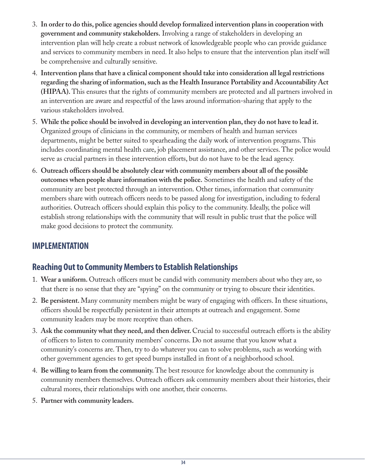- 3. **In order to do this, police agencies should develop formalized intervention plans in cooperation with government and community stakeholders.** Involving a range of stakeholders in developing an intervention plan will help create a robust network of knowledgeable people who can provide guidance and services to community members in need. It also helps to ensure that the intervention plan itself will be comprehensive and culturally sensitive.
- 4. **Intervention plans that have a clinical component should take into consideration all legal restrictions regarding the sharing of information, such as the Health Insurance Portability and Accountability Act (HIPAA).** This ensures that the rights of community members are protected and all partners involved in an intervention are aware and respectful of the laws around information-sharing that apply to the various stakeholders involved.
- 5. **While the police should be involved in developing an intervention plan, they do not have to lead it.** Organized groups of clinicians in the community, or members of health and human services departments, might be better suited to spearheading the daily work of intervention programs. This includes coordinating mental health care, job placement assistance, and other services. The police would serve as crucial partners in these intervention efforts, but do not have to be the lead agency.
- 6. **Outreach officers should be absolutely clear with community members about all of the possible outcomes when people share information with the police.** Sometimes the health and safety of the community are best protected through an intervention. Other times, information that community members share with outreach officers needs to be passed along for investigation, including to federal authorities. Outreach officers should explain this policy to the community. Ideally, the police will establish strong relationships with the community that will result in public trust that the police will make good decisions to protect the community.

# **IMPLEMENTATION**

# **Reaching Out to Community Members to Establish Relationships**

- 1. **Wear a uniform.** Outreach officers must be candid with community members about who they are, so that there is no sense that they are "spying" on the community or trying to obscure their identities.
- 2. **Be persistent.** Many community members might be wary of engaging with officers. In these situations, officers should be respectfully persistent in their attempts at outreach and engagement. Some community leaders may be more receptive than others.
- 3. **Ask the community what they need, and then deliver.** Crucial to successful outreach efforts is the ability of officers to listen to community members' concerns. Do not assume that you know what a community's concerns are. Then, try to do whatever you can to solve problems, such as working with other government agencies to get speed bumps installed in front of a neighborhood school.
- 4. **Be willing to learn from the community.** The best resource for knowledge about the community is community members themselves. Outreach officers ask community members about their histories, their cultural mores, their relationships with one another, their concerns.
- 5. **Partner with community leaders.**